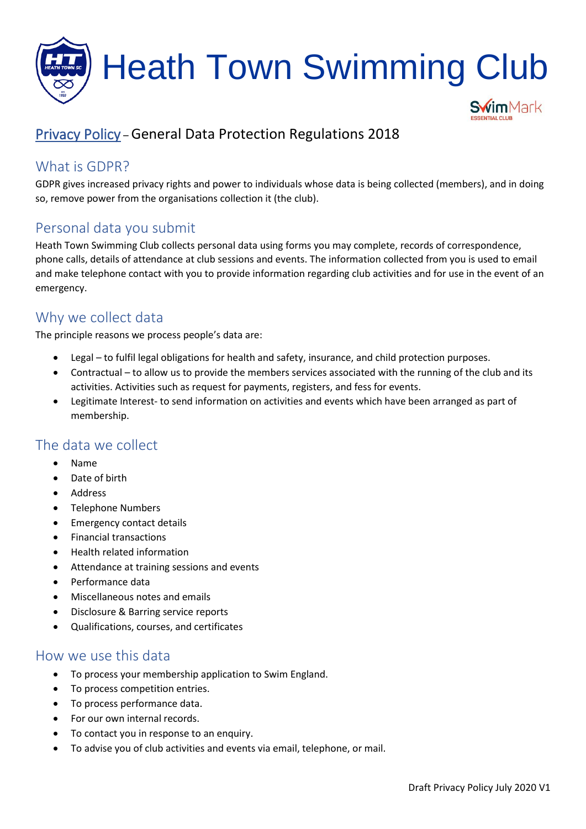

# Privacy Policy – General Data Protection Regulations 2018

## What is GDPR?

GDPR gives increased privacy rights and power to individuals whose data is being collected (members), and in doing so, remove power from the organisations collection it (the club).

### Personal data you submit

Heath Town Swimming Club collects personal data using forms you may complete, records of correspondence, phone calls, details of attendance at club sessions and events. The information collected from you is used to email and make telephone contact with you to provide information regarding club activities and for use in the event of an emergency.

### Why we collect data

The principle reasons we process people's data are:

- Legal to fulfil legal obligations for health and safety, insurance, and child protection purposes.
- Contractual to allow us to provide the members services associated with the running of the club and its activities. Activities such as request for payments, registers, and fess for events.
- Legitimate Interest- to send information on activities and events which have been arranged as part of membership.

### The data we collect

- Name
- Date of birth
- Address
- Telephone Numbers
- Emergency contact details
- Financial transactions
- Health related information
- Attendance at training sessions and events
- Performance data
- Miscellaneous notes and emails
- Disclosure & Barring service reports
- Qualifications, courses, and certificates

#### How we use this data

- To process your membership application to Swim England.
- To process competition entries.
- To process performance data.
- For our own internal records.
- To contact you in response to an enquiry.
- To advise you of club activities and events via email, telephone, or mail.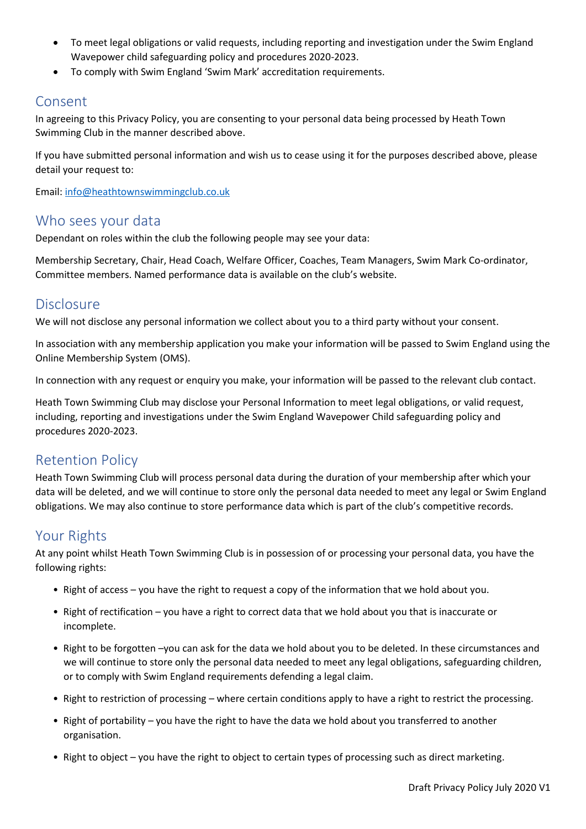- To meet legal obligations or valid requests, including reporting and investigation under the Swim England Wavepower child safeguarding policy and procedures 2020-2023.
- To comply with Swim England 'Swim Mark' accreditation requirements.

### Consent

In agreeing to this Privacy Policy, you are consenting to your personal data being processed by Heath Town Swimming Club in the manner described above.

If you have submitted personal information and wish us to cease using it for the purposes described above, please detail your request to:

Email: [info@heathtownswimmingclub.co.uk](mailto:info@heathtownswimmingclub.co.uk)

#### Who sees your data

Dependant on roles within the club the following people may see your data:

Membership Secretary, Chair, Head Coach, Welfare Officer, Coaches, Team Managers, Swim Mark Co-ordinator, Committee members. Named performance data is available on the club's website.

#### Disclosure

We will not disclose any personal information we collect about you to a third party without your consent.

In association with any membership application you make your information will be passed to Swim England using the Online Membership System (OMS).

In connection with any request or enquiry you make, your information will be passed to the relevant club contact.

Heath Town Swimming Club may disclose your Personal Information to meet legal obligations, or valid request, including, reporting and investigations under the Swim England Wavepower Child safeguarding policy and procedures 2020-2023.

### Retention Policy

Heath Town Swimming Club will process personal data during the duration of your membership after which your data will be deleted, and we will continue to store only the personal data needed to meet any legal or Swim England obligations. We may also continue to store performance data which is part of the club's competitive records.

### Your Rights

At any point whilst Heath Town Swimming Club is in possession of or processing your personal data, you have the following rights:

- Right of access you have the right to request a copy of the information that we hold about you.
- Right of rectification you have a right to correct data that we hold about you that is inaccurate or incomplete.
- Right to be forgotten –you can ask for the data we hold about you to be deleted. In these circumstances and we will continue to store only the personal data needed to meet any legal obligations, safeguarding children, or to comply with Swim England requirements defending a legal claim.
- Right to restriction of processing where certain conditions apply to have a right to restrict the processing.
- Right of portability you have the right to have the data we hold about you transferred to another organisation.
- Right to object you have the right to object to certain types of processing such as direct marketing.